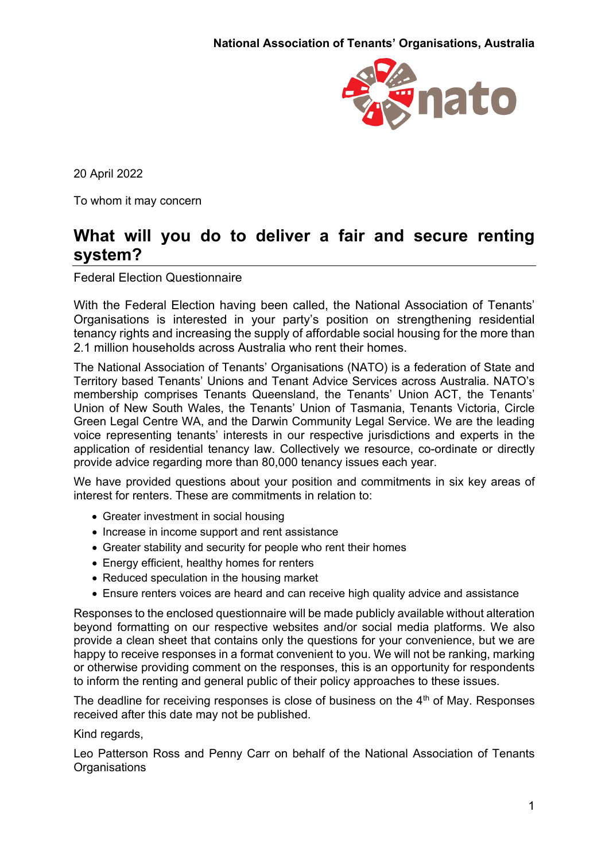

20 April 2022

To whom it may concern

# **What will you do to deliver a fair and secure renting system?**

Federal Election Questionnaire

With the Federal Election having been called, the National Association of Tenants' Organisations is interested in your party's position on strengthening residential tenancy rights and increasing the supply of affordable social housing for the more than 2.1 million households across Australia who rent their homes.

The National Association of Tenants' Organisations (NATO) is a federation of State and Territory based Tenants' Unions and Tenant Advice Services across Australia. NATO's membership comprises Tenants Queensland, the Tenants' Union ACT, the Tenants' Union of New South Wales, the Tenants' Union of Tasmania, Tenants Victoria, Circle Green Legal Centre WA, and the Darwin Community Legal Service. We are the leading voice representing tenants' interests in our respective jurisdictions and experts in the application of residential tenancy law. Collectively we resource, co-ordinate or directly provide advice regarding more than 80,000 tenancy issues each year.

We have provided questions about your position and commitments in six key areas of interest for renters. These are commitments in relation to:

- Greater investment in social housing
- Increase in income support and rent assistance
- Greater stability and security for people who rent their homes
- Energy efficient, healthy homes for renters
- Reduced speculation in the housing market
- Ensure renters voices are heard and can receive high quality advice and assistance

Responses to the enclosed questionnaire will be made publicly available without alteration beyond formatting on our respective websites and/or social media platforms. We also provide a clean sheet that contains only the questions for your convenience, but we are happy to receive responses in a format convenient to you. We will not be ranking, marking or otherwise providing comment on the responses, this is an opportunity for respondents to inform the renting and general public of their policy approaches to these issues.

The deadline for receiving responses is close of business on the  $4<sup>th</sup>$  of May. Responses received after this date may not be published.

#### Kind regards,

Leo Patterson Ross and Penny Carr on behalf of the National Association of Tenants **Organisations**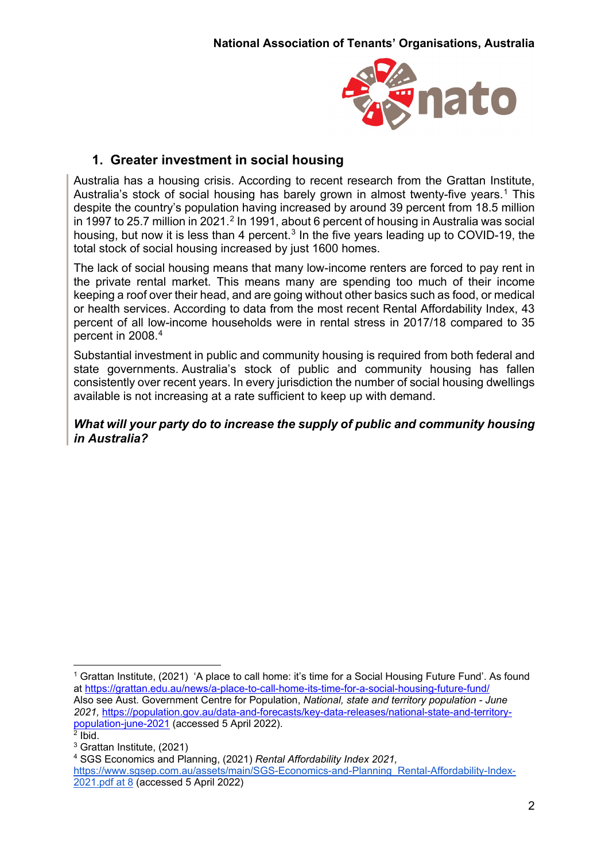

# **1. Greater investment in social housing**

Australia has a housing crisis. According to recent research from the Grattan Institute, Australia's stock of social housing has barely grown in almost twenty-five years.<sup>1</sup> This despite the country's population having increased by around 39 percent from 18.5 million in 1997 to [2](#page-1-1)5.7 million in 2021.<sup>2</sup> In 1991, about 6 percent of housing in Australia was social housing, but now it is less than 4 percent.<sup>[3](#page-1-2)</sup> In the five years leading up to COVID-19, the total stock of social housing increased by just 1600 homes.

The lack of social housing means that many low-income renters are forced to pay rent in the private rental market. This means many are spending too much of their income keeping a roof over their head, and are going without other basics such as food, or medical or health services. According to data from the most recent Rental Affordability Index, 43 percent of all low-income households were in rental stress in 2017/18 compared to 35 percent in 2008.[4](#page-1-3)

Substantial investment in public and community housing is required from both federal and state governments. Australia's stock of public and community housing has fallen consistently over recent years. In every jurisdiction the number of social housing dwellings available is not increasing at a rate sufficient to keep up with demand.

#### *What will your party do to increase the supply of public and community housing in Australia?*

<span id="page-1-0"></span><sup>&</sup>lt;sup>1</sup> Grattan Institute, (2021) 'A place to call home: it's time for a Social Housing Future Fund'. As found at<https://grattan.edu.au/news/a-place-to-call-home-its-time-for-a-social-housing-future-fund/> Also see Aust. Government Centre for Population, *National, state and territory population - June 2021,* [https://population.gov.au/data-and-forecasts/key-data-releases/national-state-and-territory](https://population.gov.au/data-and-forecasts/key-data-releases/national-state-and-territory-population-june-2021)[population-june-2021](https://population.gov.au/data-and-forecasts/key-data-releases/national-state-and-territory-population-june-2021) (accessed 5 April 2022).  $<sup>2</sup>$  Ibid.</sup>

<span id="page-1-2"></span><span id="page-1-1"></span><sup>3</sup> Grattan Institute, (2021)

<span id="page-1-3"></span><sup>4</sup> SGS Economics and Planning, (2021) *Rental Affordability Index 2021,* 

[https://www.sgsep.com.au/assets/main/SGS-Economics-and-Planning\\_Rental-Affordability-Index-](https://www.sgsep.com.au/assets/main/SGS-Economics-and-Planning_Rental-Affordability-Index-2021.pdf%20at%208)[2021.pdf at 8](https://www.sgsep.com.au/assets/main/SGS-Economics-and-Planning_Rental-Affordability-Index-2021.pdf%20at%208) (accessed 5 April 2022)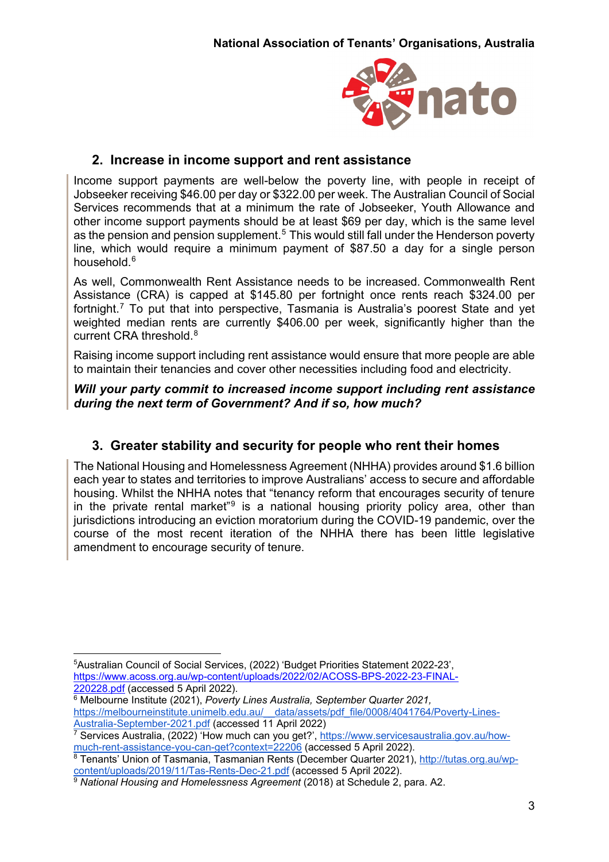

# **2. Increase in income support and rent assistance**

Income support payments are well-below the poverty line, with people in receipt of Jobseeker receiving \$46.00 per day or \$322.00 per week. The Australian Council of Social Services recommends that at a minimum the rate of Jobseeker, Youth Allowance and other income support payments should be at least \$69 per day, which is the same level as the pension and pension supplement.<sup>[5](#page-2-0)</sup> This would still fall under the Henderson poverty line, which would require a minimum payment of \$87.50 a day for a single person household. [6](#page-2-1)

As well, Commonwealth Rent Assistance needs to be increased. Commonwealth Rent Assistance (CRA) is capped at \$145.80 per fortnight once rents reach \$324.00 per fortnight.[7](#page-2-2) To put that into perspective, Tasmania is Australia's poorest State and yet weighted median rents are currently \$406.00 per week, significantly higher than the current CRA threshold.[8](#page-2-3)

Raising income support including rent assistance would ensure that more people are able to maintain their tenancies and cover other necessities including food and electricity.

*Will your party commit to increased income support including rent assistance during the next term of Government? And if so, how much?*

# **3. Greater stability and security for people who rent their homes**

The National Housing and Homelessness Agreement (NHHA) provides around \$1.6 billion each year to states and territories to improve Australians' access to secure and affordable housing. Whilst the NHHA notes that "tenancy reform that encourages security of tenure in the private rental market<sup>"[9](#page-2-4)</sup> is a national housing priority policy area, other than jurisdictions introducing an eviction moratorium during the COVID-19 pandemic, over the course of the most recent iteration of the NHHA there has been little legislative amendment to encourage security of tenure.

<span id="page-2-0"></span> <sup>5</sup>Australian Council of Social Services, (2022) 'Budget Priorities Statement 2022-23', [https://www.acoss.org.au/wp-content/uploads/2022/02/ACOSS-BPS-2022-23-FINAL-](https://www.acoss.org.au/wp-content/uploads/2022/02/ACOSS-BPS-2022-23-FINAL-220228.pdf)[220228.pdf](https://www.acoss.org.au/wp-content/uploads/2022/02/ACOSS-BPS-2022-23-FINAL-220228.pdf) (accessed 5 April 2022).

<span id="page-2-1"></span><sup>6</sup> Melbourne Institute (2021), *Poverty Lines Australia, September Quarter 2021,*  [https://melbourneinstitute.unimelb.edu.au/\\_\\_data/assets/pdf\\_file/0008/4041764/Poverty-Lines-](https://melbourneinstitute.unimelb.edu.au/__data/assets/pdf_file/0008/4041764/Poverty-Lines-Australia-September-2021.pdf)[Australia-September-2021.pdf](https://melbourneinstitute.unimelb.edu.au/__data/assets/pdf_file/0008/4041764/Poverty-Lines-Australia-September-2021.pdf) (accessed 11 April 2022)

<span id="page-2-2"></span><sup>7</sup> Services Australia, (2022) 'How much can you get?', [https://www.servicesaustralia.gov.au/how](https://www.servicesaustralia.gov.au/how-much-rent-assistance-you-can-get?context=22206)[much-rent-assistance-you-can-get?context=22206](https://www.servicesaustralia.gov.au/how-much-rent-assistance-you-can-get?context=22206) (accessed 5 April 2022).

<span id="page-2-3"></span><sup>8</sup> Tenants' Union of Tasmania, Tasmanian Rents (December Quarter 2021), [http://tutas.org.au/wp](http://tutas.org.au/wp-content/uploads/2019/11/Tas-Rents-Dec-21.pdf)[content/uploads/2019/11/Tas-Rents-Dec-21.pdf](http://tutas.org.au/wp-content/uploads/2019/11/Tas-Rents-Dec-21.pdf) (accessed 5 April 2022).

<span id="page-2-4"></span><sup>9</sup> *National Housing and Homelessness Agreement* (2018) at Schedule 2, para. A2.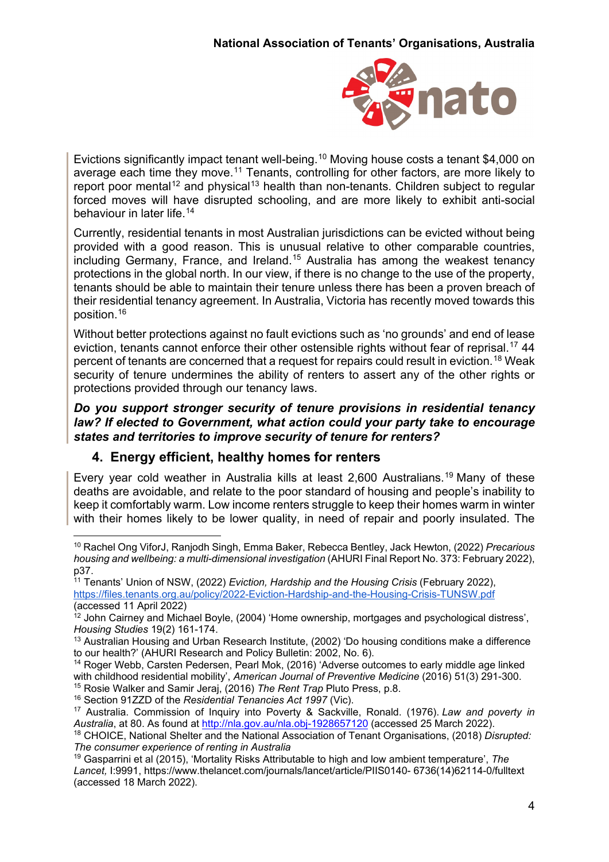

Evictions significantly impact tenant well-being.<sup>[10](#page-3-0)</sup> Moving house costs a tenant \$4,000 on average each time they move.<sup>[11](#page-3-1)</sup> Tenants, controlling for other factors, are more likely to report poor mental<sup>[12](#page-3-2)</sup> and physical<sup>[13](#page-3-3)</sup> health than non-tenants. Children subject to regular forced moves will have disrupted schooling, and are more likely to exhibit anti-social behaviour in later life.<sup>[14](#page-3-4)</sup>

Currently, residential tenants in most Australian jurisdictions can be evicted without being provided with a good reason. This is unusual relative to other comparable countries, including Germany, France, and Ireland.<sup>[15](#page-3-5)</sup> Australia has among the weakest tenancy protections in the global north. In our view, if there is no change to the use of the property, tenants should be able to maintain their tenure unless there has been a proven breach of their residential tenancy agreement. In Australia, Victoria has recently moved towards this position.[16](#page-3-6)

Without better protections against no fault evictions such as 'no grounds' and end of lease eviction, tenants cannot enforce their other ostensible rights without fear of reprisal.<sup>[17](#page-3-7)</sup> 44 percent of tenants are concerned that a request for repairs could result in eviction.[18](#page-3-8) Weak security of tenure undermines the ability of renters to assert any of the other rights or protections provided through our tenancy laws.

*Do you support stronger security of tenure provisions in residential tenancy law? If elected to Government, what action could your party take to encourage states and territories to improve security of tenure for renters?* 

### **4. Energy efficient, healthy homes for renters**

Every year cold weather in Australia kills at least 2,600 Australians.[19](#page-3-9) Many of these deaths are avoidable, and relate to the poor standard of housing and people's inability to keep it comfortably warm. Low income renters struggle to keep their homes warm in winter with their homes likely to be lower quality, in need of repair and poorly insulated. The

<span id="page-3-6"></span><sup>16</sup> Section 91ZZD of the *Residential Tenancies Act 1997* (Vic).

<span id="page-3-0"></span> <sup>10</sup> Rachel Ong ViforJ, Ranjodh Singh, Emma Baker, Rebecca Bentley, Jack Hewton, (2022) *Precarious housing and wellbeing: a multi-dimensional investigation* (AHURI Final Report No. 373: February 2022), p37.

<span id="page-3-1"></span><sup>11</sup> Tenants' Union of NSW, (2022) *Eviction, Hardship and the Housing Crisis* (February 2022), <https://files.tenants.org.au/policy/2022-Eviction-Hardship-and-the-Housing-Crisis-TUNSW.pdf> (accessed 11 April 2022)

<span id="page-3-2"></span><sup>&</sup>lt;sup>12</sup> John Cairney and Michael Boyle, (2004) 'Home ownership, mortgages and psychological distress', *Housing Studies* 19(2) 161-174.

<span id="page-3-3"></span> $13$  Australian Housing and Urban Research Institute, (2002) 'Do housing conditions make a difference to our health?' (AHURI Research and Policy Bulletin: 2002, No. 6).

<span id="page-3-4"></span><sup>&</sup>lt;sup>14</sup> Roger Webb, Carsten Pedersen, Pearl Mok, (2016) 'Adverse outcomes to early middle age linked with childhood residential mobility', *American Journal of Preventive Medicine* (2016) 51(3) 291-300.

<span id="page-3-5"></span><sup>15</sup> Rosie Walker and Samir Jeraj, (2016) *The Rent Trap* Pluto Press, p.8.

<span id="page-3-7"></span><sup>17</sup> Australia. Commission of Inquiry into Poverty & Sackville, Ronald. (1976). *Law and poverty in Australia*, at 80. As found at<http://nla.gov.au/nla.obj-1928657120> (accessed 25 March 2022).

<span id="page-3-8"></span><sup>18</sup> CHOICE, National Shelter and the National Association of Tenant Organisations, (2018) *Disrupted: The consumer experience of renting in Australia*

<span id="page-3-9"></span><sup>19</sup> Gasparrini et al (2015), 'Mortality Risks Attributable to high and low ambient temperature', *The Lancet,* I:9991, https://www.thelancet.com/journals/lancet/article/PIIS0140- 6736(14)62114-0/fulltext (accessed 18 March 2022).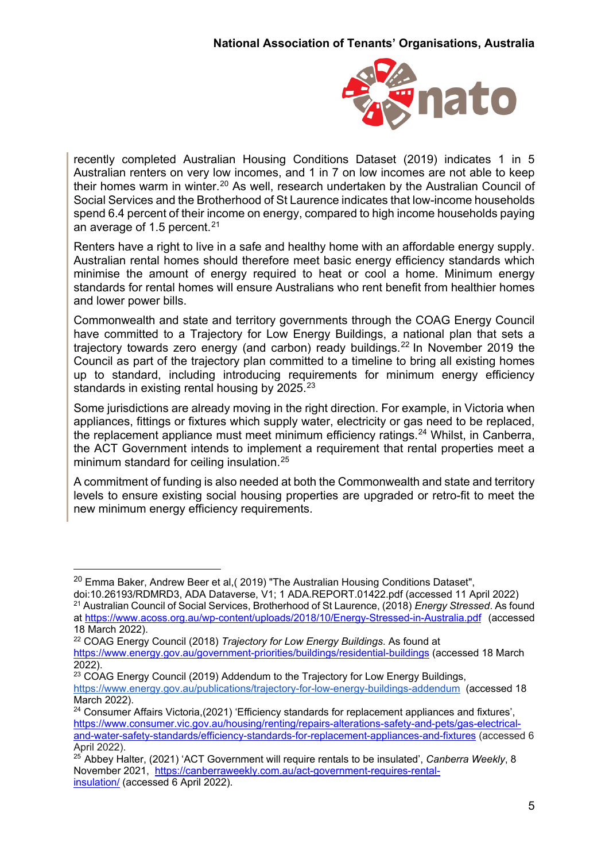

recently completed Australian Housing Conditions Dataset (2019) indicates 1 in 5 Australian renters on very low incomes, and 1 in 7 on low incomes are not able to keep their homes warm in winter.<sup>[20](#page-4-0)</sup> As well, research undertaken by the Australian Council of Social Services and the Brotherhood of St Laurence indicates that low-income households spend 6.4 percent of their income on energy, compared to high income households paying an average of 1.5 percent. $21$ 

Renters have a right to live in a safe and healthy home with an affordable energy supply. Australian rental homes should therefore meet basic energy efficiency standards which minimise the amount of energy required to heat or cool a home. Minimum energy standards for rental homes will ensure Australians who rent benefit from healthier homes and lower power bills.

Commonwealth and state and territory governments through the COAG Energy Council have committed to a Trajectory for Low Energy Buildings, a national plan that sets a trajectory towards zero energy (and carbon) ready buildings.[22](#page-4-2) In November 2019 the Council as part of the trajectory plan committed to a timeline to bring all existing homes up to standard, including introducing requirements for minimum energy efficiency standards in existing rental housing by 2025.<sup>[23](#page-4-3)</sup>

Some jurisdictions are already moving in the right direction. For example, in Victoria when appliances, fittings or fixtures which supply water, electricity or gas need to be replaced, the replacement appliance must meet minimum efficiency ratings.<sup>[24](#page-4-4)</sup> Whilst, in Canberra, the ACT Government intends to implement a requirement that rental properties meet a minimum standard for ceiling insulation.<sup>[25](#page-4-5)</sup>

A commitment of funding is also needed at both the Commonwealth and state and territory levels to ensure existing social housing properties are upgraded or retro-fit to meet the new minimum energy efficiency requirements.

<span id="page-4-0"></span> $20$  Emma Baker, Andrew Beer et al, (2019) "The Australian Housing Conditions Dataset",

<span id="page-4-1"></span>doi:10.26193/RDMRD3, ADA Dataverse, V1; 1 ADA.REPORT.01422.pdf (accessed 11 April 2022) <sup>21</sup> Australian Council of Social Services, Brotherhood of St Laurence, (2018) *Energy Stressed*. As found at <https://www.acoss.org.au/wp-content/uploads/2018/10/Energy-Stressed-in-Australia.pdf> (accessed 18 March 2022).

<span id="page-4-2"></span><sup>22</sup> COAG Energy Council (2018) *Trajectory for Low Energy Buildings*. As found at <https://www.energy.gov.au/government-priorities/buildings/residential-buildings> (accessed 18 March 2022).

<span id="page-4-3"></span><sup>&</sup>lt;sup>23</sup> COAG Energy Council (2019) Addendum to the Trajectory for Low Energy Buildings, <https://www.energy.gov.au/publications/trajectory-for-low-energy-buildings-addendum>(accessed 18 March 2022).

<span id="page-4-4"></span><sup>&</sup>lt;sup>24</sup> Consumer Affairs Victoria,(2021) 'Efficiency standards for replacement appliances and fixtures', [https://www.consumer.vic.gov.au/housing/renting/repairs-alterations-safety-and-pets/gas-electrical](https://www.consumer.vic.gov.au/housing/renting/repairs-alterations-safety-and-pets/gas-electrical-and-water-safety-standards/efficiency-standards-for-replacement-appliances-and-fixtures)[and-water-safety-standards/efficiency-standards-for-replacement-appliances-and-fixtures](https://www.consumer.vic.gov.au/housing/renting/repairs-alterations-safety-and-pets/gas-electrical-and-water-safety-standards/efficiency-standards-for-replacement-appliances-and-fixtures) (accessed 6 April 2022).

<span id="page-4-5"></span><sup>25</sup> Abbey Halter, (2021) 'ACT Government will require rentals to be insulated', *Canberra Weekly*, 8 November 2021, [https://canberraweekly.com.au/act-government-requires-rental](https://canberraweekly.com.au/act-government-requires-rental-insulation/)[insulation/](https://canberraweekly.com.au/act-government-requires-rental-insulation/) (accessed 6 April 2022).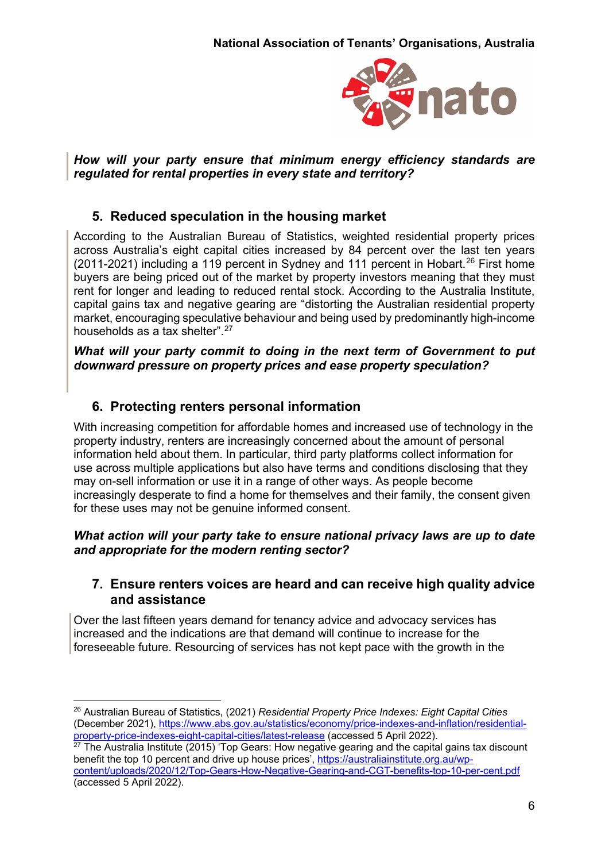

*How will your party ensure that minimum energy efficiency standards are regulated for rental properties in every state and territory?*

### **5. Reduced speculation in the housing market**

According to the Australian Bureau of Statistics, weighted residential property prices across Australia's eight capital cities increased by 84 percent over the last ten years (2011-2021) including a 119 percent in Sydney and 111 percent in Hobart.<sup>[26](#page-5-0)</sup> First home buyers are being priced out of the market by property investors meaning that they must rent for longer and leading to reduced rental stock. According to the Australia Institute, capital gains tax and negative gearing are "distorting the Australian residential property market, encouraging speculative behaviour and being used by predominantly high-income households as a tax shelter".<sup>27</sup>

*What will your party commit to doing in the next term of Government to put downward pressure on property prices and ease property speculation?*

# **6. Protecting renters personal information**

With increasing competition for affordable homes and increased use of technology in the property industry, renters are increasingly concerned about the amount of personal information held about them. In particular, third party platforms collect information for use across multiple applications but also have terms and conditions disclosing that they may on-sell information or use it in a range of other ways. As people become increasingly desperate to find a home for themselves and their family, the consent given for these uses may not be genuine informed consent.

#### *What action will your party take to ensure national privacy laws are up to date and appropriate for the modern renting sector?*

### **7. Ensure renters voices are heard and can receive high quality advice and assistance**

Over the last fifteen years demand for tenancy advice and advocacy services has increased and the indications are that demand will continue to increase for the foreseeable future. Resourcing of services has not kept pace with the growth in the

<span id="page-5-0"></span> <sup>26</sup> Australian Bureau of Statistics, (2021) *Residential Property Price Indexes: Eight Capital Cities*  (December 2021), [https://www.abs.gov.au/statistics/economy/price-indexes-and-inflation/residential](https://www.abs.gov.au/statistics/economy/price-indexes-and-inflation/residential-property-price-indexes-eight-capital-cities/latest-release)[property-price-indexes-eight-capital-cities/latest-release](https://www.abs.gov.au/statistics/economy/price-indexes-and-inflation/residential-property-price-indexes-eight-capital-cities/latest-release) (accessed 5 April 2022).

<span id="page-5-1"></span> $27$  The Australia Institute (2015) 'Top Gears: How negative gearing and the capital gains tax discount benefit the top 10 percent and drive up house prices', [https://australiainstitute.org.au/wp](https://australiainstitute.org.au/wp-content/uploads/2020/12/Top-Gears-How-Negative-Gearing-and-CGT-benefits-top-10-per-cent.pdf)[content/uploads/2020/12/Top-Gears-How-Negative-Gearing-and-CGT-benefits-top-10-per-cent.pdf](https://australiainstitute.org.au/wp-content/uploads/2020/12/Top-Gears-How-Negative-Gearing-and-CGT-benefits-top-10-per-cent.pdf) (accessed 5 April 2022).